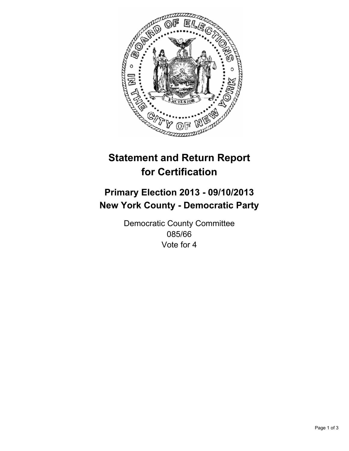

# **Statement and Return Report for Certification**

# **Primary Election 2013 - 09/10/2013 New York County - Democratic Party**

Democratic County Committee 085/66 Vote for 4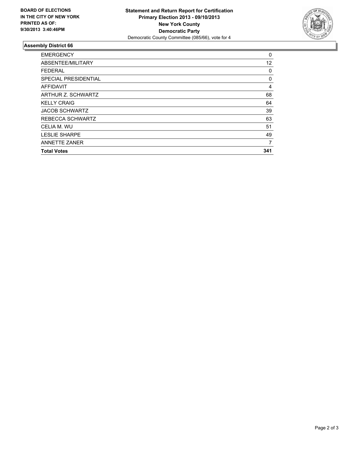

## **Assembly District 66**

| <b>EMERGENCY</b>      | 0   |
|-----------------------|-----|
| ABSENTEE/MILITARY     | 12  |
| <b>FEDERAL</b>        | 0   |
| SPECIAL PRESIDENTIAL  | 0   |
| <b>AFFIDAVIT</b>      | 4   |
| ARTHUR Z. SCHWARTZ    | 68  |
| <b>KELLY CRAIG</b>    | 64  |
| <b>JACOB SCHWARTZ</b> | 39  |
| REBECCA SCHWARTZ      | 63  |
| CELIA M. WU           | 51  |
| <b>LESLIE SHARPE</b>  | 49  |
| <b>ANNETTE ZANER</b>  | 7   |
| <b>Total Votes</b>    | 341 |